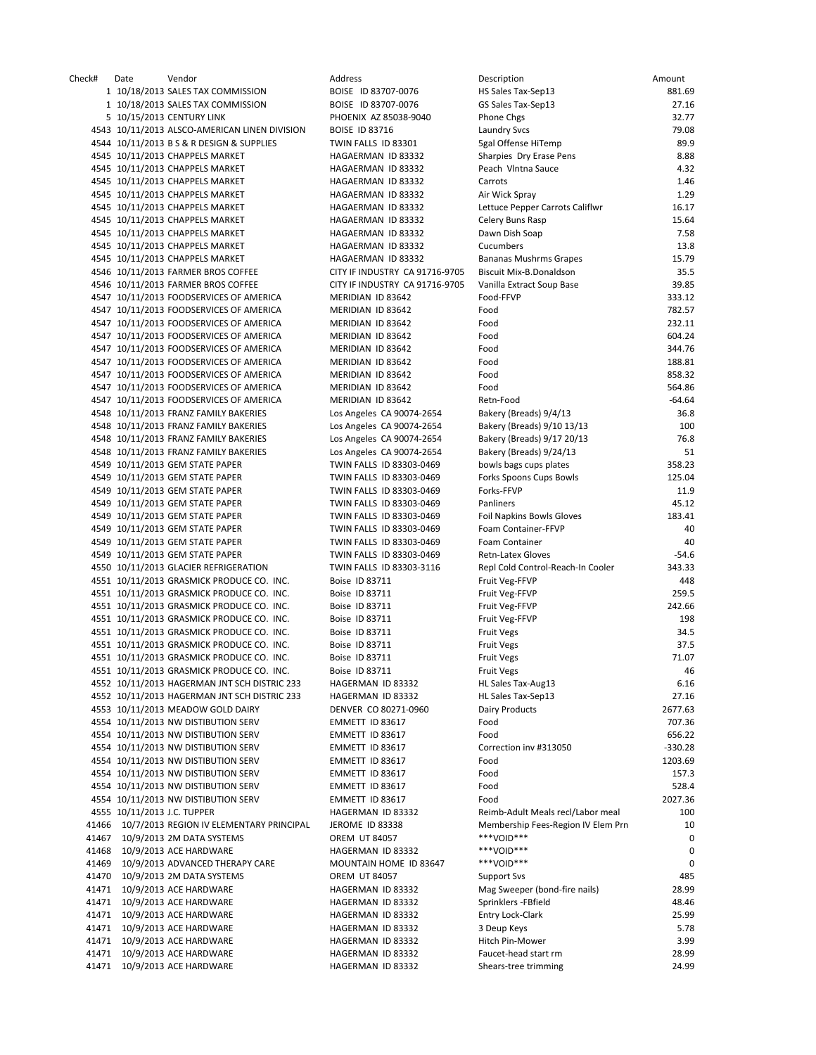Check# Date Vendor Address Description Amount 1 10/18/2013 SALES TAX COMMISSION BOISE ID 83707-0076 1 10/18/2013 SALES TAX COMMISSION BOISE ID 83707-0076 5 10/15/2013 CENTURY LINK PHOENIX AZ 85038-9040 4543 10/11/2013 ALSCO-AMERICAN LINEN DIVISION BOISE ID 83716 4544 10/11/2013 B S & R DESIGN & SUPPLIES TWIN FALLS ID 83301 4545 10/11/2013 CHAPPELS MARKET HAGAERMAN ID 83332 4545 10/11/2013 CHAPPELS MARKET HAGAERMAN ID 83332 4545 10/11/2013 CHAPPELS MARKET HAGAERMAN ID 83332 4545 10/11/2013 CHAPPELS MARKET HAGAERMAN ID 83332 4545 10/11/2013 CHAPPELS MARKET HAGAERMAN ID 83332 4545 10/11/2013 CHAPPELS MARKET HAGAERMAN ID 83332 4545 10/11/2013 CHAPPELS MARKET HAGAERMAN ID 83332 4545 10/11/2013 CHAPPELS MARKET HAGAERMAN ID 83332 4545 10/11/2013 CHAPPELS MARKET HAGAERMAN ID 83332 4546 10/11/2013 FARMER BROS COFFEE CITY IF INDUSTRY CA 91716-9705 4546 10/11/2013 FARMER BROS COFFEE CITY IF INDUSTRY CA 91716-9705 4547 10/11/2013 FOODSERVICES OF AMERICA MERIDIAN ID 83642 4547 10/11/2013 FOODSERVICES OF AMERICA MERIDIAN ID 83642 4547 10/11/2013 FOODSERVICES OF AMERICA MERIDIAN ID 83642 4547 10/11/2013 FOODSERVICES OF AMERICA MERIDIAN ID 83642 4547 10/11/2013 FOODSERVICES OF AMERICA MERIDIAN ID 83642 4547 10/11/2013 FOODSERVICES OF AMERICA MERIDIAN ID 83642 4547 10/11/2013 FOODSERVICES OF AMERICA MERIDIAN ID 83642 4547 10/11/2013 FOODSERVICES OF AMERICA MERIDIAN ID 83642 4547 10/11/2013 FOODSERVICES OF AMERICA MERIDIAN ID 83642 4548 10/11/2013 FRANZ FAMILY BAKERIES Los Angeles CA 90074-2654 4548 10/11/2013 FRANZ FAMILY BAKERIES Los Angeles CA 90074-2654 4548 10/11/2013 FRANZ FAMILY BAKERIES Los Angeles CA 90074-2654 4548 10/11/2013 FRANZ FAMILY BAKERIES Los Angeles CA 90074-2654 4549 10/11/2013 GEM STATE PAPER TWIN FALLS ID 83303-0469 4549 10/11/2013 GEM STATE PAPER TWIN FALLS ID 83303-0469 4549 10/11/2013 GEM STATE PAPER TWIN FALLS ID 83303-0469 4549 10/11/2013 GEM STATE PAPER TWIN FALLS ID 83303-0469 4549 10/11/2013 GEM STATE PAPER TWIN FALLS ID 83303-0469 4549 10/11/2013 GEM STATE PAPER TWIN FALLS ID 83303-0469 4549 10/11/2013 GEM STATE PAPER TWIN FALLS ID 83303-0469 4549 10/11/2013 GEM STATE PAPER TWIN FALLS ID 83303-0469 4550 10/11/2013 GLACIER REFRIGERATION TWIN FALLS ID 83303-3116 4551 10/11/2013 GRASMICK PRODUCE CO. INC. Boise ID 83711 4551 10/11/2013 GRASMICK PRODUCE CO. INC. Boise ID 83711 4551 10/11/2013 GRASMICK PRODUCE CO. INC. Boise ID 83711 4551 10/11/2013 GRASMICK PRODUCE CO. INC. Boise ID 83711 4551 10/11/2013 GRASMICK PRODUCE CO. INC. Boise ID 83711 4551 10/11/2013 GRASMICK PRODUCE CO. INC. Boise ID 83711 4551 10/11/2013 GRASMICK PRODUCE CO. INC. Boise ID 83711 4551 10/11/2013 GRASMICK PRODUCE CO. INC. Boise ID 83711 4552 10/11/2013 HAGERMAN JNT SCH DISTRIC 233 HAGERMAN ID 83332 4552 10/11/2013 HAGERMAN JNT SCH DISTRIC 233 HAGERMAN ID 83332 4553 10/11/2013 MEADOW GOLD DAIRY DENVER CO 80271-0960 4554 10/11/2013 NW DISTIBUTION SERV EMMETT ID 83617 4554 10/11/2013 NW DISTIBUTION SERV EMMETT ID 83617 4554 10/11/2013 NW DISTIBUTION SERV EMMETT ID 83617 4554 10/11/2013 NW DISTIBUTION SERV EMMETT ID 83617 4554 10/11/2013 NW DISTIBUTION SERV EMMETT ID 83617 4554 10/11/2013 NW DISTIBUTION SERV EMMETT ID 83617 4554 10/11/2013 NW DISTIBUTION SERV EMMETT ID 83617 4555 10/11/2013 J.C. TUPPER HAGERMAN ID 83332 41466 10/7/2013 REGION IV ELEMENTARY PRINCIPAL JEROME ID 83338 41467 10/9/2013 2M DATA SYSTEMS THE RESERVE OREM UT 84057 41468 10/9/2013 ACE HARDWARE HAGERMAN ID 83332 41469 10/9/2013 ADVANCED THERAPY CARE MOUNTAIN HOME ID 83647 41470 10/9/2013 2M DATA SYSTEMS **CONSUMING STATE STATE OR EM UT 84057** 41471 10/9/2013 ACE HARDWARE HAGERMAN ID 83332 41471 10/9/2013 ACE HARDWARE HAGERMAN ID 83332 41471 10/9/2013 ACE HARDWARE HAGERMAN ID 83332 41471 10/9/2013 ACE HARDWARE HAGERMAN ID 83332 41471 10/9/2013 ACE HARDWARE HAGERMAN ID 83332 41471 10/9/2013 ACE HARDWARE HAGERMAN ID 83332 41471 10/9/2013 ACE HARDWARE HAGERMAN ID 83332

| Description                        | Amount    |
|------------------------------------|-----------|
| HS Sales Tax-Sep13                 | 881.69    |
| GS Sales Tax-Sep13                 | 27.16     |
| Phone Chgs                         | 32.77     |
| <b>Laundry Svcs</b>                | 79.08     |
| <b>5gal Offense HiTemp</b>         | 89.9      |
| Sharpies Dry Erase Pens            | 8.88      |
| Peach Vlntna Sauce                 | 4.32      |
| Carrots                            | 1.46      |
| Air Wick Spray                     | 1.29      |
| Lettuce Pepper Carrots Califlwr    | 16.17     |
| Celery Buns Rasp                   | 15.64     |
| Dawn Dish Soap                     | 7.58      |
| Cucumbers                          | 13.8      |
| <b>Bananas Mushrms Grapes</b>      | 15.79     |
|                                    |           |
| Biscuit Mix-B.Donaldson            | 35.5      |
| Vanilla Extract Soup Base          | 39.85     |
| Food-FFVP                          | 333.12    |
| Food                               | 782.57    |
| Food                               | 232.11    |
| Food                               | 604.24    |
| Food                               | 344.76    |
| Food                               | 188.81    |
| Food                               | 858.32    |
| Food                               | 564.86    |
| Retn-Food                          | $-64.64$  |
| Bakery (Breads) 9/4/13             | 36.8      |
| Bakery (Breads) 9/10 13/13         | 100       |
|                                    | 76.8      |
| Bakery (Breads) 9/17 20/13         | 51        |
| Bakery (Breads) 9/24/13            |           |
| bowls bags cups plates             | 358.23    |
| Forks Spoons Cups Bowls            | 125.04    |
| Forks-FFVP                         | 11.9      |
| Panliners                          | 45.12     |
| Foil Napkins Bowls Gloves          | 183.41    |
| Foam Container-FFVP                | 40        |
| Foam Container                     | 40        |
| Retn-Latex Gloves                  | $-54.6$   |
| Repl Cold Control-Reach-In Cooler  | 343.33    |
| Fruit Veg-FFVP                     | 448       |
| Fruit Veg-FFVP                     | 259.5     |
| Fruit Veg-FFVP                     | 242.66    |
| Fruit Veg-FFVP                     | 198       |
| Fruit Vegs                         | 34.5      |
|                                    |           |
| Fruit Vegs                         | 37.5      |
| Fruit Vegs                         | 71.07     |
| Fruit Vegs                         | 46        |
| HL Sales Tax-Aug13                 | 6.16      |
| HL Sales Tax-Sep13                 | 27.16     |
| Dairy Products                     | 2677.63   |
| Food                               | 707.36    |
| Food                               | 656.22    |
| Correction inv #313050             | $-330.28$ |
| Food                               | 1203.69   |
| Food                               | 157.3     |
| Food                               | 528.4     |
| Food                               | 2027.36   |
| Reimb-Adult Meals recl/Labor meal  | 100       |
| Membership Fees-Region IV Elem Prn | 10        |
| ***VOID***                         |           |
|                                    | 0         |
| ***VOID***                         | 0         |
| ***VOID***                         | 0         |
| Support Svs                        | 485       |
| Mag Sweeper (bond-fire nails)      | 28.99     |
| Sprinklers -FBfield                | 48.46     |
| Entry Lock-Clark                   | 25.99     |
| 3 Deup Keys                        | 5.78      |
| Hitch Pin-Mower                    | 3.99      |
| Faucet-head start rm               | 28.99     |
| Shears-tree trimming               | 24.99     |
|                                    |           |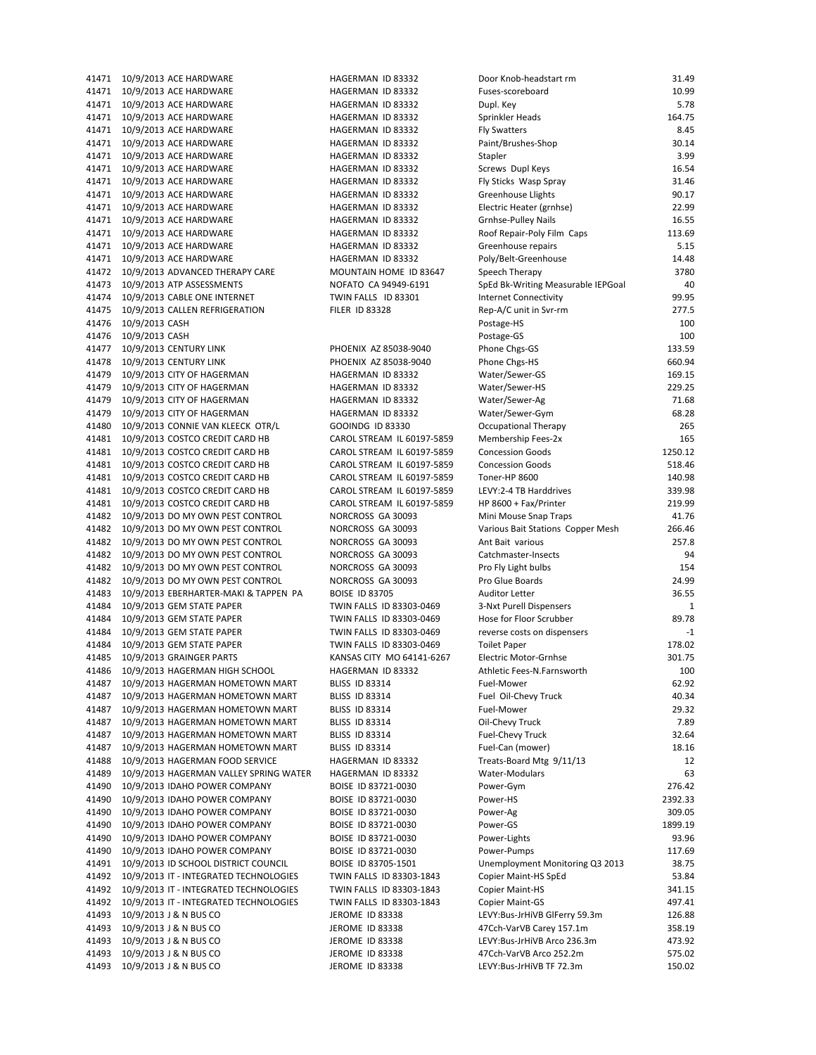41471 10/9/2013 ACE HARDWARE HAGERMAN ID 83332 41471 10/9/2013 ACE HARDWARE HAGERMAN ID 83332 41471 10/9/2013 ACE HARDWARE HAGERMAN ID 83332 41471 10/9/2013 ACE HARDWARE HAGERMAN ID 83332 41471 10/9/2013 ACE HARDWARE HAGERMAN ID 83332 41471 10/9/2013 ACE HARDWARE HAGERMAN ID 83332 41471 10/9/2013 ACE HARDWARE HAGERMAN ID 83332 41471 10/9/2013 ACE HARDWARE HAGERMAN ID 83332 41471 10/9/2013 ACE HARDWARE HAGERMAN ID 83332 41471 10/9/2013 ACE HARDWARE HAGERMAN ID 83332 41471 10/9/2013 ACE HARDWARE HAGERMAN ID 83332 41471 10/9/2013 ACE HARDWARE HAGERMAN ID 83332 41471 10/9/2013 ACE HARDWARE HAGERMAN ID 83332 41471 10/9/2013 ACE HARDWARE HAGERMAN ID 83332 41471 10/9/2013 ACE HARDWARE HAGERMAN ID 83332 41472 10/9/2013 ADVANCED THERAPY CARE MOUNTAIN HOME ID 83647 41473 10/9/2013 ATP ASSESSMENTS NOFATO CA 94949-6191 41474 10/9/2013 CABLE ONE INTERNET TWIN FALLS ID 83301 41475 10/9/2013 CALLEN REFRIGERATION FILER ID 83328 41476 10/9/2013 CASH 41476 10/9/2013 CASH Postage‐GS Postage‐GS Postage‐GS Postage‐GS Postage‐GS Postage‐GS Postage‐GS Postage‐GS Postage‐GS Postage‐GS Postage‐GS Postage‐GS Postage‐GS Postage‐GS Po 41477 10/9/2013 CENTURY LINK PHOENIX AZ 85038-9040 41478 10/9/2013 CENTURY LINK <br>
PHOENIX AZ 85038-9040 41479 10/9/2013 CITY OF HAGERMAN HAGERMAN HAGERMAN ID 83332 41479 10/9/2013 CITY OF HAGERMAN HAGERMAN ID 83332 41479 10/9/2013 CITY OF HAGERMAN HAGERMAN HAGERMAN ID 83332 41479 10/9/2013 CITY OF HAGERMAN HAGERMAN ID 83332 Water/Sewer‐Gym 68.28 41480 10/9/2013 CONNIE VAN KLEECK OTR/L GOOINDG ID 83330 41481 10/9/2013 COSTCO CREDIT CARD HB CAROL STREAM IL 60197-5859 41481 10/9/2013 COSTCO CREDIT CARD HB CAROL STREAM IL 60197-5859 41481 10/9/2013 COSTCO CREDIT CARD HB CAROL STREAM IL 60197-5859 41481 10/9/2013 COSTCO CREDIT CARD HB CAROL STREAM IL 60197-5859 41481 10/9/2013 COSTCO CREDIT CARD HB CAROL STREAM IL 60197-5859 41481 10/9/2013 COSTCO CREDIT CARD HB CAROL STREAM IL 60197-5859 41482 10/9/2013 DO MY OWN PEST CONTROL NORCROSS GA 30093 41482 10/9/2013 DO MY OWN PEST CONTROL NORCROSS GA 30093 41482 10/9/2013 DO MY OWN PEST CONTROL NORCROSS GA 30093 41482 10/9/2013 DO MY OWN PEST CONTROL NORCROSS GA 30093 41482 10/9/2013 DO MY OWN PEST CONTROL NORCROSS GA 30093 41482 10/9/2013 DO MY OWN PEST CONTROL NORCROSS GA 30093 41483 10/9/2013 EBERHARTER-MAKI & TAPPEN PA BOISE ID 83705 41484 10/9/2013 GEM STATE PAPER TWIN FALLS ID 83303-0469 41484 10/9/2013 GEM STATE PAPER TWIN FALLS ID 83303-0469 41484 10/9/2013 GEM STATE PAPER TWIN FALLS ID 83303-0469 41484 10/9/2013 GEM STATE PAPER TWIN FALLS ID 83303-0469 41485 10/9/2013 GRAINGER PARTS KANSAS CITY MO 64141-6267 41486 10/9/2013 HAGERMAN HIGH SCHOOL HAGERMAN ID 83332 41487 10/9/2013 HAGERMAN HOMETOWN MART BLISS ID 83314 41487 10/9/2013 HAGERMAN HOMETOWN MART BLISS ID 83314 41487 10/9/2013 HAGERMAN HOMETOWN MART BLISS ID 83314 41487 10/9/2013 HAGERMAN HOMETOWN MART BLISS ID 83314 41487 10/9/2013 HAGERMAN HOMETOWN MART BLISS ID 83314 41487 10/9/2013 HAGERMAN HOMETOWN MART BLISS ID 83314 41488 10/9/2013 HAGERMAN FOOD SERVICE HAGERMAN ID 83332 41489 10/9/2013 HAGERMAN VALLEY SPRING WATER HAGERMAN ID 83332 41490 10/9/2013 IDAHO POWER COMPANY BOISE ID 83721-0030 41490 10/9/2013 IDAHO POWER COMPANY BOISE ID 83721-0030 41490 10/9/2013 IDAHO POWER COMPANY BOISE ID 83721-0030 41490 10/9/2013 IDAHO POWER COMPANY BOISE ID 83721-0030 41490 10/9/2013 IDAHO POWER COMPANY BOISE ID 83721-0030 41490 10/9/2013 IDAHO POWER COMPANY BOISE ID 83721-0030 41491 10/9/2013 ID SCHOOL DISTRICT COUNCIL BOISE ID 83705-1501 41492 10/9/2013 IT - INTEGRATED TECHNOLOGIES TWIN FALLS ID 83303-1843 41492 10/9/2013 IT - INTEGRATED TECHNOLOGIES TWIN FALLS ID 83303-1843 41492 10/9/2013 IT - INTEGRATED TECHNOLOGIES TWIN FALLS ID 83303-1843 41493 10/9/2013 J & N BUS CO JEROME ID 83338 41493 10/9/2013 J & N BUS CO JEROME ID 83338 41493 10/9/2013 J & N BUS CO JEROME ID 83338 41493 10/9/2013 J & N BUS CO JEROME ID 83338 41493 10/9/2013 J & N BUS CO JEROME ID 83338

| Door Knob-headstart rm                               | 31.49             |
|------------------------------------------------------|-------------------|
| Fuses-scoreboard                                     | 10.99             |
| Dupl. Key                                            | 5.78              |
| Sprinkler Heads                                      | 164.75            |
| <b>Fly Swatters</b>                                  | 8.45              |
| Paint/Brushes-Shop<br>Stapler                        | 30.14<br>3.99     |
| Screws Dupl Keys                                     | 16.54             |
| Fly Sticks Wasp Spray                                | 31.46             |
| <b>Greenhouse Llights</b>                            | 90.17             |
| Electric Heater (grnhse)                             | 22.99             |
| <b>Grnhse-Pulley Nails</b>                           | 16.55             |
| Roof Repair-Poly Film Caps                           | 113.69            |
| Greenhouse repairs                                   | 5.15              |
| Poly/Belt-Greenhouse                                 | 14.48<br>3780     |
| Speech Therapy<br>SpEd Bk-Writing Measurable IEPGoal | 40                |
| <b>Internet Connectivity</b>                         | 99.95             |
| Rep-A/C unit in Svr-rm                               | 277.5             |
| Postage-HS                                           | 100               |
| Postage-GS                                           | 100               |
| Phone Chgs-GS                                        | 133.59            |
| Phone Chgs-HS                                        | 660.94            |
| Water/Sewer-GS                                       | 169.15            |
| Water/Sewer-HS                                       | 229.25            |
| Water/Sewer-Ag<br>Water/Sewer-Gym                    | 71.68<br>68.28    |
| <b>Occupational Therapy</b>                          | 265               |
| Membership Fees-2x                                   | 165               |
| <b>Concession Goods</b>                              | 1250.12           |
| <b>Concession Goods</b>                              | 518.46            |
| Toner-HP 8600                                        | 140.98            |
| LEVY:2-4 TB Harddrives                               | 339.98            |
| HP 8600 + Fax/Printer                                | 219.99            |
| Mini Mouse Snap Traps                                | 41.76             |
| Various Bait Stations Copper Mesh                    | 266.46            |
| Ant Bait various<br>Catchmaster-Insects              | 257.8<br>94       |
| Pro Fly Light bulbs                                  | 154               |
| Pro Glue Boards                                      | 24.99             |
| <b>Auditor Letter</b>                                | 36.55             |
| 3-Nxt Purell Dispensers                              | 1                 |
| Hose for Floor Scrubber                              | 89.78             |
| reverse costs on dispensers                          | -1                |
| <b>Toilet Paper</b>                                  | 178.02            |
| <b>Electric Motor-Grnhse</b>                         | 301.75            |
| Athletic Fees-N.Farnsworth                           | 100               |
| Fuel-Mower<br>Fuel Oil-Chevy Truck                   | 62.92<br>40.34    |
| Fuel-Mower                                           | 29.32             |
| Oil-Chevy Truck                                      | 7.89              |
| <b>Fuel-Chevy Truck</b>                              | 32.64             |
| Fuel-Can (mower)                                     | 18.16             |
| Treats-Board Mtg 9/11/13                             | 12                |
| Water-Modulars                                       | 63                |
| Power-Gym                                            | 276.42            |
| Power-HS                                             | 2392.33           |
| Power-Ag                                             | 309.05<br>1899.19 |
| Power-GS<br>Power-Lights                             | 93.96             |
| Power-Pumps                                          | 117.69            |
| Unemployment Monitoring Q3 2013                      | 38.75             |
| Copier Maint-HS SpEd                                 | 53.84             |
| <b>Copier Maint-HS</b>                               | 341.15            |
| Copier Maint-GS                                      | 497.41            |
| LEVY:Bus-JrHiVB GlFerry 59.3m                        | 126.88            |
| 47Cch-VarVB Carey 157.1m                             | 358.19            |
| LEVY:Bus-JrHiVB Arco 236.3m                          | 473.92            |
| 47Cch-VarVB Arco 252.2m                              | 575.02            |
| LEVY:Bus-JrHiVB TF 72.3m                             | 150.02            |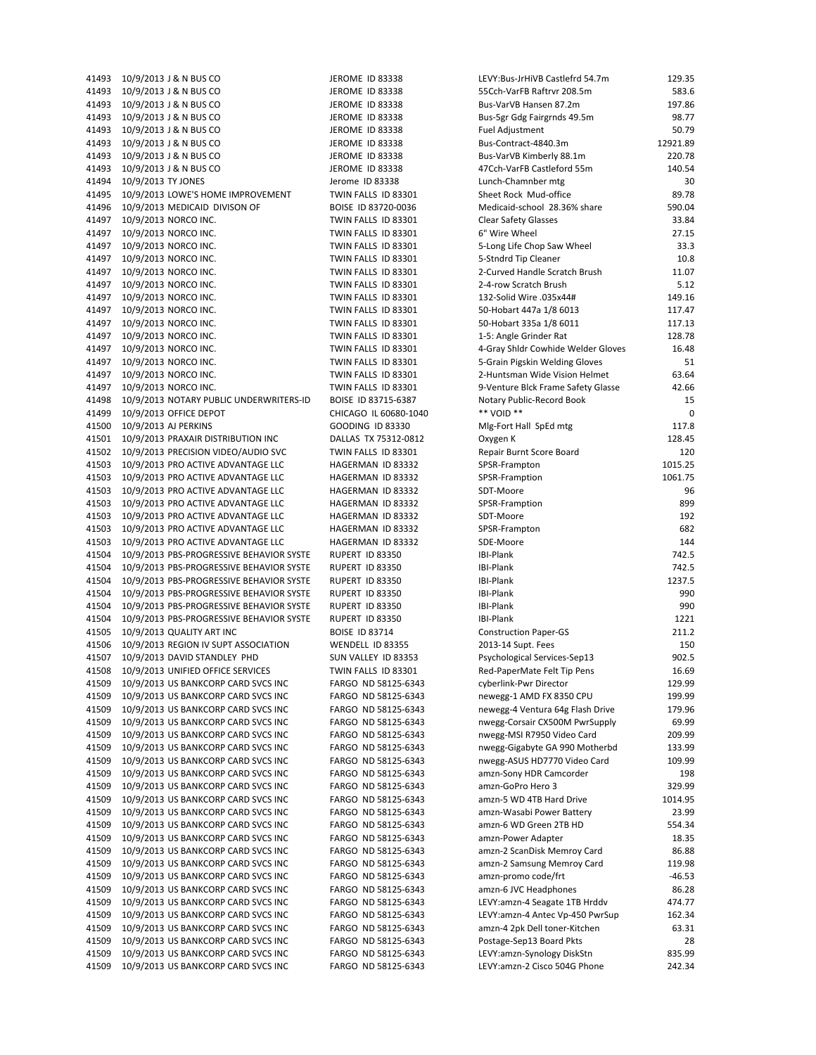| 41493 | 10/9/2013 J & N BUS CO                   | JEROME ID 83338       | LEVY:Bus-JrHIVB Castlefrd 54.7m    | 129.35   |
|-------|------------------------------------------|-----------------------|------------------------------------|----------|
| 41493 | 10/9/2013 J & N BUS CO                   | JEROME ID 83338       | 55Cch-VarFB Raftrvr 208.5m         | 583.6    |
| 41493 | 10/9/2013 J & N BUS CO                   | JEROME ID 83338       | Bus-VarVB Hansen 87.2m             | 197.86   |
| 41493 | 10/9/2013 J & N BUS CO                   | JEROME ID 83338       | Bus-5gr Gdg Fairgrnds 49.5m        | 98.77    |
|       |                                          |                       |                                    |          |
|       | 41493 10/9/2013 J & N BUS CO             | JEROME ID 83338       | Fuel Adjustment                    | 50.79    |
| 41493 | 10/9/2013 J & N BUS CO                   | JEROME ID 83338       | Bus-Contract-4840.3m               | 12921.89 |
| 41493 | 10/9/2013 J & N BUS CO                   | JEROME ID 83338       | Bus-VarVB Kimberly 88.1m           | 220.78   |
| 41493 | 10/9/2013 J & N BUS CO                   | JEROME ID 83338       | 47Cch-VarFB Castleford 55m         | 140.54   |
| 41494 | 10/9/2013 TY JONES                       | Jerome ID 83338       | Lunch-Chamnber mtg                 | 30       |
| 41495 |                                          |                       |                                    | 89.78    |
|       | 10/9/2013 LOWE'S HOME IMPROVEMENT        | TWIN FALLS ID 83301   | Sheet Rock Mud-office              |          |
| 41496 | 10/9/2013 MEDICAID DIVISON OF            | BOISE ID 83720-0036   | Medicaid-school 28.36% share       | 590.04   |
| 41497 | 10/9/2013 NORCO INC.                     | TWIN FALLS ID 83301   | <b>Clear Safety Glasses</b>        | 33.84    |
| 41497 | 10/9/2013 NORCO INC.                     | TWIN FALLS ID 83301   | 6" Wire Wheel                      | 27.15    |
| 41497 | 10/9/2013 NORCO INC.                     | TWIN FALLS ID 83301   | 5-Long Life Chop Saw Wheel         | 33.3     |
| 41497 | 10/9/2013 NORCO INC.                     | TWIN FALLS ID 83301   | 5-Stndrd Tip Cleaner               | 10.8     |
|       |                                          |                       |                                    |          |
| 41497 | 10/9/2013 NORCO INC.                     | TWIN FALLS ID 83301   | 2-Curved Handle Scratch Brush      | 11.07    |
| 41497 | 10/9/2013 NORCO INC.                     | TWIN FALLS ID 83301   | 2-4-row Scratch Brush              | 5.12     |
| 41497 | 10/9/2013 NORCO INC.                     | TWIN FALLS ID 83301   | 132-Solid Wire .035x44#            | 149.16   |
| 41497 | 10/9/2013 NORCO INC.                     | TWIN FALLS ID 83301   | 50-Hobart 447a 1/8 6013            | 117.47   |
| 41497 | 10/9/2013 NORCO INC.                     | TWIN FALLS ID 83301   | 50-Hobart 335a 1/8 6011            | 117.13   |
|       |                                          |                       |                                    |          |
| 41497 | 10/9/2013 NORCO INC.                     | TWIN FALLS ID 83301   | 1-5: Angle Grinder Rat             | 128.78   |
| 41497 | 10/9/2013 NORCO INC.                     | TWIN FALLS ID 83301   | 4-Gray Shldr Cowhide Welder Gloves | 16.48    |
| 41497 | 10/9/2013 NORCO INC.                     | TWIN FALLS ID 83301   | 5-Grain Pigskin Welding Gloves     | 51       |
| 41497 | 10/9/2013 NORCO INC.                     | TWIN FALLS ID 83301   | 2-Huntsman Wide Vision Helmet      | 63.64    |
| 41497 | 10/9/2013 NORCO INC.                     | TWIN FALLS ID 83301   | 9-Venture Blck Frame Safety Glasse | 42.66    |
|       |                                          |                       |                                    |          |
| 41498 | 10/9/2013 NOTARY PUBLIC UNDERWRITERS-ID  | BOISE ID 83715-6387   | Notary Public-Record Book          | 15       |
| 41499 | 10/9/2013 OFFICE DEPOT                   | CHICAGO IL 60680-1040 | ** VOID **                         | 0        |
| 41500 | 10/9/2013 AJ PERKINS                     | GOODING ID 83330      | Mlg-Fort Hall SpEd mtg             | 117.8    |
| 41501 | 10/9/2013 PRAXAIR DISTRIBUTION INC       | DALLAS TX 75312-0812  | Oxygen K                           | 128.45   |
| 41502 | 10/9/2013 PRECISION VIDEO/AUDIO SVC      | TWIN FALLS ID 83301   | Repair Burnt Score Board           | 120      |
| 41503 | 10/9/2013 PRO ACTIVE ADVANTAGE LLC       |                       |                                    | 1015.25  |
|       |                                          | HAGERMAN ID 83332     | SPSR-Frampton                      |          |
| 41503 | 10/9/2013 PRO ACTIVE ADVANTAGE LLC       | HAGERMAN ID 83332     | SPSR-Framption                     | 1061.75  |
| 41503 | 10/9/2013 PRO ACTIVE ADVANTAGE LLC       | HAGERMAN ID 83332     | SDT-Moore                          | 96       |
| 41503 | 10/9/2013 PRO ACTIVE ADVANTAGE LLC       | HAGERMAN ID 83332     | SPSR-Framption                     | 899      |
| 41503 | 10/9/2013 PRO ACTIVE ADVANTAGE LLC       | HAGERMAN ID 83332     | SDT-Moore                          | 192      |
| 41503 | 10/9/2013 PRO ACTIVE ADVANTAGE LLC       | HAGERMAN ID 83332     | SPSR-Frampton                      | 682      |
|       |                                          |                       |                                    |          |
| 41503 | 10/9/2013 PRO ACTIVE ADVANTAGE LLC       | HAGERMAN ID 83332     | SDE-Moore                          | 144      |
| 41504 | 10/9/2013 PBS-PROGRESSIVE BEHAVIOR SYSTE | RUPERT ID 83350       | <b>IBI-Plank</b>                   | 742.5    |
| 41504 | 10/9/2013 PBS-PROGRESSIVE BEHAVIOR SYSTE | RUPERT ID 83350       | IBI-Plank                          | 742.5    |
| 41504 | 10/9/2013 PBS-PROGRESSIVE BEHAVIOR SYSTE | RUPERT ID 83350       | IBI-Plank                          | 1237.5   |
| 41504 | 10/9/2013 PBS-PROGRESSIVE BEHAVIOR SYSTE | RUPERT ID 83350       | IBI-Plank                          | 990      |
| 41504 | 10/9/2013 PBS-PROGRESSIVE BEHAVIOR SYSTE | RUPERT ID 83350       | <b>IBI-Plank</b>                   | 990      |
|       |                                          |                       |                                    |          |
| 41504 | 10/9/2013 PBS-PROGRESSIVE BEHAVIOR SYSTE | RUPERT ID 83350       | IBI-Plank                          | 1221     |
| 41505 | 10/9/2013 QUALITY ART INC                | <b>BOISE ID 83714</b> | <b>Construction Paper-GS</b>       | 211.2    |
| 41506 | 10/9/2013 REGION IV SUPT ASSOCIATION     | WENDELL ID 83355      | 2013-14 Supt. Fees                 | 150      |
| 41507 | 10/9/2013 DAVID STANDLEY PHD             | SUN VALLEY ID 83353   | Psychological Services-Sep13       | 902.5    |
| 41508 | 10/9/2013 UNIFIED OFFICE SERVICES        | TWIN FALLS ID 83301   | Red-PaperMate Felt Tip Pens        | 16.69    |
|       |                                          |                       |                                    |          |
| 41509 | 10/9/2013 US BANKCORP CARD SVCS INC      | FARGO ND 58125-6343   | cyberlink-Pwr Director             | 129.99   |
| 41509 | 10/9/2013 US BANKCORP CARD SVCS INC      | FARGO ND 58125-6343   | newegg-1 AMD FX 8350 CPU           | 199.99   |
| 41509 | 10/9/2013 US BANKCORP CARD SVCS INC      | FARGO ND 58125-6343   | newegg-4 Ventura 64g Flash Drive   | 179.96   |
| 41509 | 10/9/2013 US BANKCORP CARD SVCS INC      | FARGO ND 58125-6343   | nwegg-Corsair CX500M PwrSupply     | 69.99    |
| 41509 | 10/9/2013 US BANKCORP CARD SVCS INC      | FARGO ND 58125-6343   | nwegg-MSI R7950 Video Card         | 209.99   |
|       |                                          |                       |                                    |          |
| 41509 | 10/9/2013 US BANKCORP CARD SVCS INC      | FARGO ND 58125-6343   | nwegg-Gigabyte GA 990 Motherbd     | 133.99   |
| 41509 | 10/9/2013 US BANKCORP CARD SVCS INC      | FARGO ND 58125-6343   | nwegg-ASUS HD7770 Video Card       | 109.99   |
| 41509 | 10/9/2013 US BANKCORP CARD SVCS INC      | FARGO ND 58125-6343   | amzn-Sony HDR Camcorder            | 198      |
| 41509 | 10/9/2013 US BANKCORP CARD SVCS INC      | FARGO ND 58125-6343   | amzn-GoPro Hero 3                  | 329.99   |
| 41509 | 10/9/2013 US BANKCORP CARD SVCS INC      | FARGO ND 58125-6343   | amzn-5 WD 4TB Hard Drive           | 1014.95  |
|       |                                          |                       |                                    |          |
| 41509 | 10/9/2013 US BANKCORP CARD SVCS INC      | FARGO ND 58125-6343   | amzn-Wasabi Power Battery          | 23.99    |
| 41509 | 10/9/2013 US BANKCORP CARD SVCS INC      | FARGO ND 58125-6343   | amzn-6 WD Green 2TB HD             | 554.34   |
| 41509 | 10/9/2013 US BANKCORP CARD SVCS INC      | FARGO ND 58125-6343   | amzn-Power Adapter                 | 18.35    |
| 41509 | 10/9/2013 US BANKCORP CARD SVCS INC      | FARGO ND 58125-6343   | amzn-2 ScanDisk Memroy Card        | 86.88    |
| 41509 | 10/9/2013 US BANKCORP CARD SVCS INC      | FARGO ND 58125-6343   | amzn-2 Samsung Memroy Card         | 119.98   |
| 41509 | 10/9/2013 US BANKCORP CARD SVCS INC      | FARGO ND 58125-6343   | amzn-promo code/frt                | $-46.53$ |
|       |                                          |                       |                                    |          |
| 41509 | 10/9/2013 US BANKCORP CARD SVCS INC      | FARGO ND 58125-6343   | amzn-6 JVC Headphones              | 86.28    |
| 41509 | 10/9/2013 US BANKCORP CARD SVCS INC      | FARGO ND 58125-6343   | LEVY:amzn-4 Seagate 1TB Hrddv      | 474.77   |
| 41509 | 10/9/2013 US BANKCORP CARD SVCS INC      | FARGO ND 58125-6343   | LEVY:amzn-4 Antec Vp-450 PwrSup    | 162.34   |
| 41509 | 10/9/2013 US BANKCORP CARD SVCS INC      | FARGO ND 58125-6343   | amzn-4 2pk Dell toner-Kitchen      | 63.31    |
| 41509 | 10/9/2013 US BANKCORP CARD SVCS INC      | FARGO ND 58125-6343   | Postage-Sep13 Board Pkts           | 28       |
| 41509 | 10/9/2013 US BANKCORP CARD SVCS INC      | FARGO ND 58125-6343   |                                    | 835.99   |
|       |                                          |                       | LEVY:amzn-Synology DiskStn         |          |
| 41509 | 10/9/2013 US BANKCORP CARD SVCS INC      | FARGO ND 58125-6343   | LEVY:amzn-2 Cisco 504G Phone       | 242.34   |

| 41493 | 10/9/2013 J & N BUS CO                   | JEROME ID 83338         | LEVY:Bus-JrHiVB Castlefrd 54.7m    | 129.35   |
|-------|------------------------------------------|-------------------------|------------------------------------|----------|
|       |                                          |                         |                                    |          |
| 41493 | 10/9/2013 J & N BUS CO                   | JEROME ID 83338         | 55Cch-VarFB Raftrvr 208.5m         | 583.6    |
| 41493 | 10/9/2013 J & N BUS CO                   | JEROME ID 83338         | Bus-VarVB Hansen 87.2m             | 197.86   |
| 41493 | 10/9/2013 J & N BUS CO                   | JEROME ID 83338         | Bus-5gr Gdg Fairgrnds 49.5m        | 98.77    |
| 41493 | 10/9/2013 J & N BUS CO                   | JEROME ID 83338         | Fuel Adjustment                    | 50.79    |
| 41493 | 10/9/2013 J & N BUS CO                   | JEROME ID 83338         | Bus-Contract-4840.3m               | 12921.89 |
| 41493 | 10/9/2013 J & N BUS CO                   | <b>JEROME ID 83338</b>  | Bus-VarVB Kimberly 88.1m           | 220.78   |
|       |                                          |                         |                                    |          |
| 41493 | 10/9/2013 J & N BUS CO                   | JEROME ID 83338         | 47Cch-VarFB Castleford 55m         | 140.54   |
| 41494 | 10/9/2013 TY JONES                       | Jerome ID 83338         | Lunch-Chamnber mtg                 | 30       |
| 41495 | 10/9/2013 LOWE'S HOME IMPROVEMENT        | TWIN FALLS ID 83301     | Sheet Rock Mud-office              | 89.78    |
| 41496 | 10/9/2013 MEDICAID DIVISON OF            | BOISE ID 83720-0036     | Medicaid-school 28.36% share       | 590.04   |
| 41497 | 10/9/2013 NORCO INC.                     | TWIN FALLS ID 83301     | <b>Clear Safety Glasses</b>        | 33.84    |
|       |                                          |                         |                                    |          |
| 41497 | 10/9/2013 NORCO INC.                     | TWIN FALLS ID 83301     | 6" Wire Wheel                      | 27.15    |
| 41497 | 10/9/2013 NORCO INC.                     | TWIN FALLS ID 83301     | 5-Long Life Chop Saw Wheel         | 33.3     |
| 41497 | 10/9/2013 NORCO INC.                     | TWIN FALLS ID 83301     | 5-Stndrd Tip Cleaner               | 10.8     |
| 41497 | 10/9/2013 NORCO INC.                     | TWIN FALLS ID 83301     | 2-Curved Handle Scratch Brush      | 11.07    |
| 41497 | 10/9/2013 NORCO INC.                     | TWIN FALLS ID 83301     | 2-4-row Scratch Brush              | 5.12     |
| 41497 | 10/9/2013 NORCO INC.                     | TWIN FALLS ID 83301     | 132-Solid Wire .035x44#            | 149.16   |
|       |                                          |                         |                                    |          |
| 41497 | 10/9/2013 NORCO INC.                     | TWIN FALLS ID 83301     | 50-Hobart 447a 1/8 6013            | 117.47   |
| 41497 | 10/9/2013 NORCO INC.                     | TWIN FALLS ID 83301     | 50-Hobart 335a 1/8 6011            | 117.13   |
| 41497 | 10/9/2013 NORCO INC.                     | TWIN FALLS ID 83301     | 1-5: Angle Grinder Rat             | 128.78   |
| 41497 | 10/9/2013 NORCO INC.                     | TWIN FALLS ID 83301     | 4-Gray Shldr Cowhide Welder Gloves | 16.48    |
| 41497 | 10/9/2013 NORCO INC.                     | TWIN FALLS ID 83301     | 5-Grain Pigskin Welding Gloves     | 51       |
|       |                                          |                         |                                    |          |
| 41497 | 10/9/2013 NORCO INC.                     | TWIN FALLS ID 83301     | 2-Huntsman Wide Vision Helmet      | 63.64    |
| 41497 | 10/9/2013 NORCO INC.                     | TWIN FALLS ID 83301     | 9-Venture Blck Frame Safety Glasse | 42.66    |
| 41498 | 10/9/2013 NOTARY PUBLIC UNDERWRITERS-ID  | BOISE ID 83715-6387     | Notary Public-Record Book          | 15       |
| 41499 | 10/9/2013 OFFICE DEPOT                   | CHICAGO IL 60680-1040   | ** VOID **                         | 0        |
| 41500 | 10/9/2013 AJ PERKINS                     | <b>GOODING ID 83330</b> | Mlg-Fort Hall SpEd mtg             | 117.8    |
| 41501 | 10/9/2013 PRAXAIR DISTRIBUTION INC       | DALLAS TX 75312-0812    |                                    | 128.45   |
|       |                                          |                         | Oxygen K                           |          |
| 41502 | 10/9/2013 PRECISION VIDEO/AUDIO SVC      | TWIN FALLS ID 83301     | Repair Burnt Score Board           | 120      |
| 41503 | 10/9/2013 PRO ACTIVE ADVANTAGE LLC       | HAGERMAN ID 83332       | SPSR-Frampton                      | 1015.25  |
| 41503 | 10/9/2013 PRO ACTIVE ADVANTAGE LLC       | HAGERMAN ID 83332       | SPSR-Framption                     | 1061.75  |
| 41503 | 10/9/2013 PRO ACTIVE ADVANTAGE LLC       | HAGERMAN ID 83332       | SDT-Moore                          | 96       |
| 41503 | 10/9/2013 PRO ACTIVE ADVANTAGE LLC       | HAGERMAN ID 83332       | SPSR-Framption                     | 899      |
|       |                                          |                         |                                    | 192      |
| 41503 | 10/9/2013 PRO ACTIVE ADVANTAGE LLC       | HAGERMAN ID 83332       | SDT-Moore                          |          |
| 41503 | 10/9/2013 PRO ACTIVE ADVANTAGE LLC       | HAGERMAN ID 83332       | SPSR-Frampton                      | 682      |
| 41503 | 10/9/2013 PRO ACTIVE ADVANTAGE LLC       | HAGERMAN ID 83332       | SDE-Moore                          | 144      |
| 41504 | 10/9/2013 PBS-PROGRESSIVE BEHAVIOR SYSTE | RUPERT ID 83350         | IBI-Plank                          | 742.5    |
| 41504 | 10/9/2013 PBS-PROGRESSIVE BEHAVIOR SYSTE | RUPERT ID 83350         | IBI-Plank                          | 742.5    |
| 41504 | 10/9/2013 PBS-PROGRESSIVE BEHAVIOR SYSTE | RUPERT ID 83350         | IBI-Plank                          | 1237.5   |
|       | 10/9/2013 PBS-PROGRESSIVE BEHAVIOR SYSTE |                         |                                    | 990      |
| 41504 |                                          | RUPERT ID 83350         | IBI-Plank                          |          |
| 41504 | 10/9/2013 PBS-PROGRESSIVE BEHAVIOR SYSTE | RUPERT ID 83350         | <b>IBI-Plank</b>                   | 990      |
| 41504 | 10/9/2013 PBS-PROGRESSIVE BEHAVIOR SYSTE | RUPERT ID 83350         | IBI-Plank                          | 1221     |
| 41505 | 10/9/2013 QUALITY ART INC                | <b>BOISE ID 83714</b>   | <b>Construction Paper-GS</b>       | 211.2    |
| 41506 | 10/9/2013 REGION IV SUPT ASSOCIATION     | WENDELL ID 83355        | 2013-14 Supt. Fees                 | 150      |
| 41507 | 10/9/2013 DAVID STANDLEY PHD             | SUN VALLEY ID 83353     | Psychological Services-Sep13       | 902.5    |
|       |                                          |                         |                                    |          |
|       | 41508 10/9/2013 UNIFIED OFFICE SERVICES  | TWIN FALLS ID 83301     | Red-PaperMate Felt Tip Pens        | 16.69    |
| 41509 | 10/9/2013 US BANKCORP CARD SVCS INC      | FARGO ND 58125-6343     | cyberlink-Pwr Director             | 129.99   |
| 41509 | 10/9/2013 US BANKCORP CARD SVCS INC      | FARGO ND 58125-6343     | newegg-1 AMD FX 8350 CPU           | 199.99   |
| 41509 | 10/9/2013 US BANKCORP CARD SVCS INC      | FARGO ND 58125-6343     | newegg-4 Ventura 64g Flash Drive   | 179.96   |
| 41509 | 10/9/2013 US BANKCORP CARD SVCS INC      | FARGO ND 58125-6343     | nwegg-Corsair CX500M PwrSupply     | 69.99    |
|       | 10/9/2013 US BANKCORP CARD SVCS INC      | FARGO ND 58125-6343     |                                    | 209.99   |
| 41509 |                                          |                         | nwegg-MSI R7950 Video Card         |          |
| 41509 | 10/9/2013 US BANKCORP CARD SVCS INC      | FARGO ND 58125-6343     | nwegg-Gigabyte GA 990 Motherbd     | 133.99   |
| 41509 | 10/9/2013 US BANKCORP CARD SVCS INC      | FARGO ND 58125-6343     | nwegg-ASUS HD7770 Video Card       | 109.99   |
| 41509 | 10/9/2013 US BANKCORP CARD SVCS INC      | FARGO ND 58125-6343     | amzn-Sony HDR Camcorder            | 198      |
| 41509 | 10/9/2013 US BANKCORP CARD SVCS INC      | FARGO ND 58125-6343     | amzn-GoPro Hero 3                  | 329.99   |
| 41509 | 10/9/2013 US BANKCORP CARD SVCS INC      | FARGO ND 58125-6343     | amzn-5 WD 4TB Hard Drive           | 1014.95  |
|       |                                          |                         |                                    |          |
| 41509 | 10/9/2013 US BANKCORP CARD SVCS INC      | FARGO ND 58125-6343     | amzn-Wasabi Power Battery          | 23.99    |
| 41509 | 10/9/2013 US BANKCORP CARD SVCS INC      | FARGO ND 58125-6343     | amzn-6 WD Green 2TB HD             | 554.34   |
| 41509 | 10/9/2013 US BANKCORP CARD SVCS INC      | FARGO ND 58125-6343     | amzn-Power Adapter                 | 18.35    |
| 41509 | 10/9/2013 US BANKCORP CARD SVCS INC      | FARGO ND 58125-6343     | amzn-2 ScanDisk Memroy Card        | 86.88    |
| 41509 | 10/9/2013 US BANKCORP CARD SVCS INC      | FARGO ND 58125-6343     | amzn-2 Samsung Memroy Card         | 119.98   |
| 41509 | 10/9/2013 US BANKCORP CARD SVCS INC      | FARGO ND 58125-6343     | amzn-promo code/frt                | -46.53   |
|       |                                          |                         |                                    |          |
| 41509 | 10/9/2013 US BANKCORP CARD SVCS INC      | FARGO ND 58125-6343     | amzn-6 JVC Headphones              | 86.28    |
| 41509 | 10/9/2013 US BANKCORP CARD SVCS INC      | FARGO ND 58125-6343     | LEVY:amzn-4 Seagate 1TB Hrddv      | 474.77   |
| 41509 | 10/9/2013 US BANKCORP CARD SVCS INC      | FARGO ND 58125-6343     | LEVY:amzn-4 Antec Vp-450 PwrSup    | 162.34   |
| 41509 | 10/9/2013 US BANKCORP CARD SVCS INC      | FARGO ND 58125-6343     | amzn-4 2pk Dell toner-Kitchen      | 63.31    |
| 41509 | 10/9/2013 US BANKCORP CARD SVCS INC      | FARGO ND 58125-6343     | Postage-Sep13 Board Pkts           | 28       |
|       | 10/9/2013 US BANKCORP CARD SVCS INC      | FARGO ND 58125-6343     |                                    | 835.99   |
| 41509 |                                          |                         | LEVY:amzn-Synology DiskStn         |          |
| 41509 | 10/9/2013 US BANKCORP CARD SVCS INC      | FARGO ND 58125-6343     | LEVY:amzn-2 Cisco 504G Phone       | 242.34   |
|       |                                          |                         |                                    |          |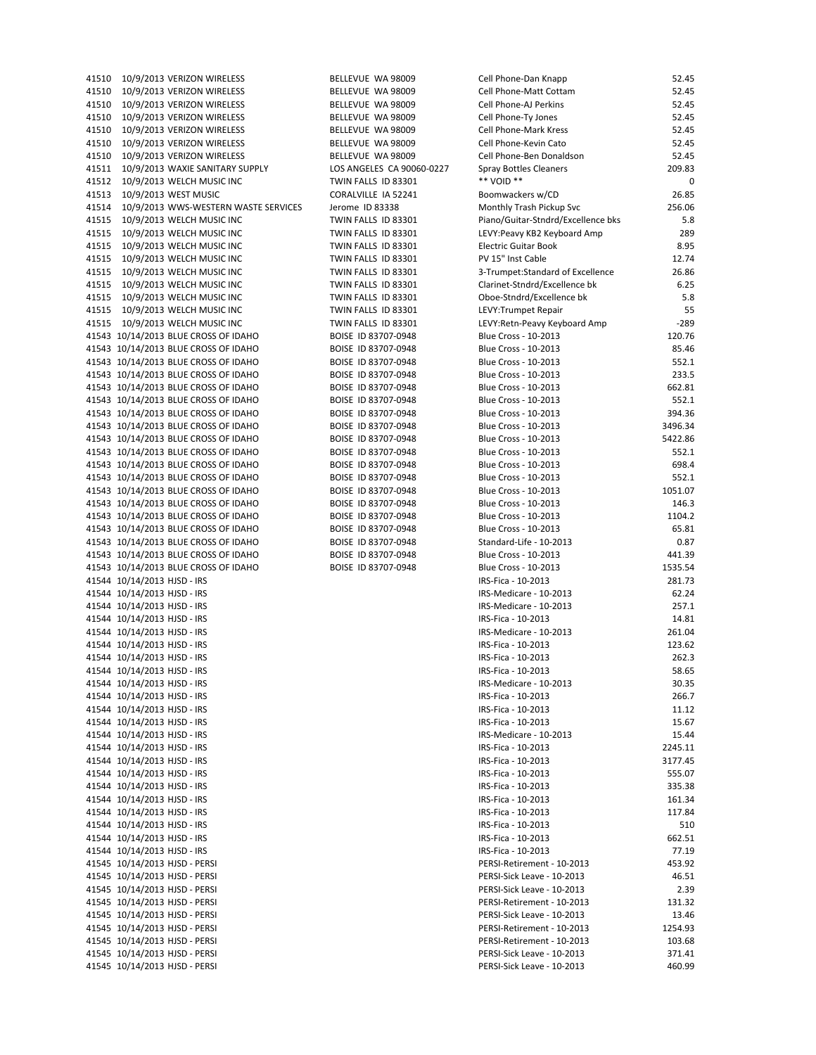| 41510 |                             | 10/9/2013 VERIZON WIRELESS           | BELLEVUE WA 98009   |
|-------|-----------------------------|--------------------------------------|---------------------|
|       |                             |                                      |                     |
| 41510 |                             | 10/9/2013 VERIZON WIRELESS           | BELLEVUE WA 98009   |
| 41510 |                             | 10/9/2013 VERIZON WIRELESS           | BELLEVUE WA 98009   |
| 41510 |                             | 10/9/2013 VERIZON WIRELESS           | BELLEVUE WA 98009   |
| 41510 |                             | 10/9/2013 VERIZON WIRELESS           | BELLEVUE WA 98009   |
| 41510 |                             | 10/9/2013 VERIZON WIRELESS           | BELLEVUE WA 98009   |
| 41510 |                             | 10/9/2013 VERIZON WIRELESS           | BELLEVUE WA 98009   |
| 41511 |                             | 10/9/2013 WAXIE SANITARY SUPPLY      | LOS ANGELES CA 900  |
| 41512 |                             | 10/9/2013 WELCH MUSIC INC            | TWIN FALLS ID 83301 |
|       |                             |                                      |                     |
| 41513 |                             | 10/9/2013 WEST MUSIC                 | CORALVILLE IA 52241 |
| 41514 |                             | 10/9/2013 WWS-WESTERN WASTE SERVICES | Jerome ID 83338     |
| 41515 |                             | 10/9/2013 WELCH MUSIC INC            | TWIN FALLS ID 83301 |
| 41515 |                             | 10/9/2013 WELCH MUSIC INC            | TWIN FALLS ID 83301 |
| 41515 |                             | 10/9/2013 WELCH MUSIC INC            | TWIN FALLS ID 83301 |
| 41515 |                             | 10/9/2013 WELCH MUSIC INC            | TWIN FALLS ID 83301 |
| 41515 |                             | 10/9/2013 WELCH MUSIC INC            | TWIN FALLS ID 83301 |
| 41515 |                             | 10/9/2013 WELCH MUSIC INC            | TWIN FALLS ID 83301 |
| 41515 |                             | 10/9/2013 WELCH MUSIC INC            | TWIN FALLS ID 83301 |
| 41515 |                             | 10/9/2013 WELCH MUSIC INC            | TWIN FALLS ID 83301 |
| 41515 |                             | 10/9/2013 WELCH MUSIC INC            | TWIN FALLS ID 83301 |
|       |                             | 41543 10/14/2013 BLUE CROSS OF IDAHO | BOISE ID 83707-0948 |
|       |                             | 41543 10/14/2013 BLUE CROSS OF IDAHO | BOISE ID 83707-0948 |
|       |                             | 41543 10/14/2013 BLUE CROSS OF IDAHO | BOISE ID 83707-0948 |
|       |                             |                                      |                     |
|       |                             | 41543 10/14/2013 BLUE CROSS OF IDAHO | BOISE ID 83707-0948 |
|       |                             | 41543 10/14/2013 BLUE CROSS OF IDAHO | BOISE ID 83707-0948 |
|       |                             | 41543 10/14/2013 BLUE CROSS OF IDAHO | BOISE ID 83707-0948 |
|       |                             | 41543 10/14/2013 BLUE CROSS OF IDAHO | BOISE ID 83707-0948 |
|       |                             | 41543 10/14/2013 BLUE CROSS OF IDAHO | BOISE ID 83707-0948 |
|       |                             | 41543 10/14/2013 BLUE CROSS OF IDAHO | BOISE ID 83707-0948 |
|       |                             | 41543 10/14/2013 BLUE CROSS OF IDAHO | BOISE ID 83707-0948 |
|       |                             | 41543 10/14/2013 BLUE CROSS OF IDAHO | BOISE ID 83707-0948 |
|       |                             | 41543 10/14/2013 BLUE CROSS OF IDAHO | BOISE ID 83707-0948 |
|       |                             | 41543 10/14/2013 BLUE CROSS OF IDAHO | BOISE ID 83707-0948 |
|       |                             | 41543 10/14/2013 BLUE CROSS OF IDAHO | BOISE ID 83707-0948 |
|       |                             | 41543 10/14/2013 BLUE CROSS OF IDAHO | BOISE ID 83707-0948 |
|       |                             | 41543 10/14/2013 BLUE CROSS OF IDAHO | BOISE ID 83707-0948 |
|       |                             |                                      |                     |
|       |                             | 41543 10/14/2013 BLUE CROSS OF IDAHO | BOISE ID 83707-0948 |
|       |                             | 41543 10/14/2013 BLUE CROSS OF IDAHO | BOISE ID 83707-0948 |
|       |                             | 41543 10/14/2013 BLUE CROSS OF IDAHO | BOISE ID 83707-0948 |
|       | 41544 10/14/2013 HJSD - IRS |                                      |                     |
|       | 41544 10/14/2013 HJSD - IRS |                                      |                     |
|       | 41544 10/14/2013 HJSD - IRS |                                      |                     |
|       | 41544 10/14/2013 HJSD - IRS |                                      |                     |
|       | 41544 10/14/2013 HJSD - IRS |                                      |                     |
|       | 41544 10/14/2013 HJSD - IRS |                                      |                     |
|       | 41544 10/14/2013 HJSD - IRS |                                      |                     |
|       | 41544 10/14/2013 HJSD - IRS |                                      |                     |
|       | 41544 10/14/2013 HJSD - IRS |                                      |                     |
|       | 41544 10/14/2013 HJSD - IRS |                                      |                     |
|       | 41544 10/14/2013 HJSD - IRS |                                      |                     |
|       | 41544 10/14/2013 HJSD - IRS |                                      |                     |
|       |                             |                                      |                     |
|       | 41544 10/14/2013 HJSD - IRS |                                      |                     |
|       | 41544 10/14/2013 HJSD - IRS |                                      |                     |
|       | 41544 10/14/2013 HJSD - IRS |                                      |                     |
|       | 41544 10/14/2013 HJSD - IRS |                                      |                     |
|       | 41544 10/14/2013 HJSD - IRS |                                      |                     |
|       | 41544 10/14/2013 HJSD - IRS |                                      |                     |
|       | 41544 10/14/2013 HJSD - IRS |                                      |                     |
|       | 41544 10/14/2013 HJSD - IRS |                                      |                     |
|       | 41544 10/14/2013 HJSD - IRS |                                      |                     |
|       | 41544 10/14/2013 HJSD - IRS |                                      |                     |
|       |                             | 41545 10/14/2013 HJSD - PERSI        |                     |
|       |                             | 41545 10/14/2013 HJSD - PERSI        |                     |
|       |                             | 41545 10/14/2013 HJSD - PERSI        |                     |
|       |                             |                                      |                     |
|       |                             | 41545 10/14/2013 HJSD - PERSI        |                     |
|       |                             | 41545 10/14/2013 HJSD - PERSI        |                     |
|       |                             | 41545 10/14/2013 HJSD - PERSI        |                     |
|       |                             | 41545 10/14/2013 HJSD - PERSI        |                     |
|       |                             | 41545 10/14/2013 HJSD - PERSI        |                     |
|       |                             | 41545 10/14/2013 HJSD - PERSI        |                     |

| 41510 | 10/9/2013 VERIZON WIRELESS           | BELLEVUE WA 98009         | Cell Phone-Dan Knapp               | 52.45   |
|-------|--------------------------------------|---------------------------|------------------------------------|---------|
| 41510 | 10/9/2013 VERIZON WIRELESS           | BELLEVUE WA 98009         | Cell Phone-Matt Cottam             | 52.45   |
| 41510 | 10/9/2013 VERIZON WIRELESS           | BELLEVUE WA 98009         | Cell Phone-AJ Perkins              | 52.45   |
| 41510 | 10/9/2013 VERIZON WIRELESS           | BELLEVUE WA 98009         | Cell Phone-Ty Jones                | 52.45   |
|       |                                      |                           |                                    |         |
| 41510 | 10/9/2013 VERIZON WIRELESS           | BELLEVUE WA 98009         | Cell Phone-Mark Kress              | 52.45   |
| 41510 | 10/9/2013 VERIZON WIRELESS           | BELLEVUE WA 98009         | Cell Phone-Kevin Cato              | 52.45   |
| 41510 | 10/9/2013 VERIZON WIRELESS           | BELLEVUE WA 98009         | Cell Phone-Ben Donaldson           | 52.45   |
| 41511 | 10/9/2013 WAXIE SANITARY SUPPLY      | LOS ANGELES CA 90060-0227 | <b>Spray Bottles Cleaners</b>      | 209.83  |
| 41512 | 10/9/2013 WELCH MUSIC INC            | TWIN FALLS ID 83301       | ** VOID **                         | 0       |
| 41513 | 10/9/2013 WEST MUSIC                 | CORALVILLE IA 52241       | Boomwackers w/CD                   | 26.85   |
| 41514 | 10/9/2013 WWS-WESTERN WASTE SERVICES | Jerome ID 83338           | Monthly Trash Pickup Svc           | 256.06  |
| 41515 | 10/9/2013 WELCH MUSIC INC            | TWIN FALLS ID 83301       | Piano/Guitar-Stndrd/Excellence bks | 5.8     |
| 41515 | 10/9/2013 WELCH MUSIC INC            | TWIN FALLS ID 83301       | LEVY:Peavy KB2 Keyboard Amp        | 289     |
|       | 10/9/2013 WELCH MUSIC INC            | TWIN FALLS ID 83301       |                                    |         |
| 41515 |                                      |                           | <b>Electric Guitar Book</b>        | 8.95    |
| 41515 | 10/9/2013 WELCH MUSIC INC            | TWIN FALLS ID 83301       | PV 15" Inst Cable                  | 12.74   |
| 41515 | 10/9/2013 WELCH MUSIC INC            | TWIN FALLS ID 83301       | 3-Trumpet:Standard of Excellence   | 26.86   |
| 41515 | 10/9/2013 WELCH MUSIC INC            | TWIN FALLS ID 83301       | Clarinet-Stndrd/Excellence bk      | 6.25    |
| 41515 | 10/9/2013 WELCH MUSIC INC            | TWIN FALLS ID 83301       | Oboe-Stndrd/Excellence bk          | 5.8     |
|       | 41515 10/9/2013 WELCH MUSIC INC      | TWIN FALLS ID 83301       | LEVY: Trumpet Repair               | 55      |
| 41515 | 10/9/2013 WELCH MUSIC INC            | TWIN FALLS ID 83301       | LEVY: Retn-Peavy Keyboard Amp      | $-289$  |
|       | 41543 10/14/2013 BLUE CROSS OF IDAHO | BOISE ID 83707-0948       | Blue Cross - 10-2013               | 120.76  |
|       | 41543 10/14/2013 BLUE CROSS OF IDAHO | BOISE ID 83707-0948       | Blue Cross - 10-2013               | 85.46   |
|       |                                      |                           |                                    |         |
|       | 41543 10/14/2013 BLUE CROSS OF IDAHO | BOISE ID 83707-0948       | Blue Cross - 10-2013               | 552.1   |
|       | 41543 10/14/2013 BLUE CROSS OF IDAHO | BOISE ID 83707-0948       | Blue Cross - 10-2013               | 233.5   |
|       | 41543 10/14/2013 BLUE CROSS OF IDAHO | BOISE ID 83707-0948       | Blue Cross - 10-2013               | 662.81  |
|       | 41543 10/14/2013 BLUE CROSS OF IDAHO | BOISE ID 83707-0948       | Blue Cross - 10-2013               | 552.1   |
|       | 41543 10/14/2013 BLUE CROSS OF IDAHO | BOISE ID 83707-0948       | Blue Cross - 10-2013               | 394.36  |
|       | 41543 10/14/2013 BLUE CROSS OF IDAHO | BOISE ID 83707-0948       | Blue Cross - 10-2013               | 3496.34 |
|       | 41543 10/14/2013 BLUE CROSS OF IDAHO | BOISE ID 83707-0948       | Blue Cross - 10-2013               | 5422.86 |
|       | 41543 10/14/2013 BLUE CROSS OF IDAHO | BOISE ID 83707-0948       | Blue Cross - 10-2013               | 552.1   |
|       |                                      |                           |                                    |         |
|       | 41543 10/14/2013 BLUE CROSS OF IDAHO | BOISE ID 83707-0948       | Blue Cross - 10-2013               | 698.4   |
|       | 41543 10/14/2013 BLUE CROSS OF IDAHO | BOISE ID 83707-0948       | Blue Cross - 10-2013               | 552.1   |
|       | 41543 10/14/2013 BLUE CROSS OF IDAHO | BOISE ID 83707-0948       | Blue Cross - 10-2013               | 1051.07 |
|       | 41543 10/14/2013 BLUE CROSS OF IDAHO | BOISE ID 83707-0948       | Blue Cross - 10-2013               | 146.3   |
|       | 41543 10/14/2013 BLUE CROSS OF IDAHO | BOISE ID 83707-0948       | Blue Cross - 10-2013               | 1104.2  |
|       | 41543 10/14/2013 BLUE CROSS OF IDAHO | BOISE ID 83707-0948       | Blue Cross - 10-2013               | 65.81   |
|       | 41543 10/14/2013 BLUE CROSS OF IDAHO | BOISE ID 83707-0948       | Standard-Life - 10-2013            | 0.87    |
|       | 41543 10/14/2013 BLUE CROSS OF IDAHO | BOISE ID 83707-0948       | Blue Cross - 10-2013               | 441.39  |
|       | 41543 10/14/2013 BLUE CROSS OF IDAHO | BOISE ID 83707-0948       |                                    | 1535.54 |
|       |                                      |                           | Blue Cross - 10-2013               |         |
|       | 41544 10/14/2013 HJSD - IRS          |                           | IRS-Fica - 10-2013                 | 281.73  |
|       | 41544 10/14/2013 HJSD - IRS          |                           | IRS-Medicare - 10-2013             | 62.24   |
|       | 41544 10/14/2013 HJSD - IRS          |                           | IRS-Medicare - 10-2013             | 257.1   |
|       | 41544 10/14/2013 HJSD - IRS          |                           | IRS-Fica - 10-2013                 | 14.81   |
|       | 41544 10/14/2013 HJSD - IRS          |                           | IRS-Medicare - 10-2013             | 261.04  |
|       | 41544 10/14/2013 HJSD - IRS          |                           | IRS-Fica - 10-2013                 | 123.62  |
|       | 41544 10/14/2013 HJSD - IRS          |                           | IRS-Fica - 10-2013                 | 262.3   |
|       |                                      |                           |                                    | 58.65   |
|       | 41544 10/14/2013 HJSD - IRS          |                           | IRS-Fica - 10-2013                 |         |
|       | 41544 10/14/2013 HJSD - IRS          |                           | IRS-Medicare - 10-2013             | 30.35   |
|       | 41544 10/14/2013 HJSD - IRS          |                           | IRS-Fica - 10-2013                 | 266.7   |
|       | 41544 10/14/2013 HJSD - IRS          |                           | IRS-Fica - 10-2013                 | 11.12   |
|       | 41544 10/14/2013 HJSD - IRS          |                           | IRS-Fica - 10-2013                 | 15.67   |
|       | 41544 10/14/2013 HJSD - IRS          |                           | IRS-Medicare - 10-2013             | 15.44   |
|       | 41544 10/14/2013 HJSD - IRS          |                           | IRS-Fica - 10-2013                 | 2245.11 |
|       | 41544 10/14/2013 HJSD - IRS          |                           | IRS-Fica - 10-2013                 | 3177.45 |
|       |                                      |                           |                                    |         |
|       | 41544 10/14/2013 HJSD - IRS          |                           | IRS-Fica - 10-2013                 | 555.07  |
|       | 41544 10/14/2013 HJSD - IRS          |                           | IRS-Fica - 10-2013                 | 335.38  |
|       | 41544 10/14/2013 HJSD - IRS          |                           | IRS-Fica - 10-2013                 | 161.34  |
|       | 41544 10/14/2013 HJSD - IRS          |                           | IRS-Fica - 10-2013                 | 117.84  |
|       | 41544 10/14/2013 HJSD - IRS          |                           | IRS-Fica - 10-2013                 | 510     |
|       | 41544 10/14/2013 HJSD - IRS          |                           | IRS-Fica - 10-2013                 | 662.51  |
|       | 41544 10/14/2013 HJSD - IRS          |                           | IRS-Fica - 10-2013                 | 77.19   |
|       |                                      |                           |                                    |         |
|       | 41545 10/14/2013 HJSD - PERSI        |                           | PERSI-Retirement - 10-2013         | 453.92  |
|       | 41545 10/14/2013 HJSD - PERSI        |                           | PERSI-Sick Leave - 10-2013         | 46.51   |
|       | 41545 10/14/2013 HJSD - PERSI        |                           | PERSI-Sick Leave - 10-2013         | 2.39    |
|       | 41545 10/14/2013 HJSD - PERSI        |                           | PERSI-Retirement - 10-2013         | 131.32  |
|       | 41545 10/14/2013 HJSD - PERSI        |                           | PERSI-Sick Leave - 10-2013         | 13.46   |
|       | 41545 10/14/2013 HJSD - PERSI        |                           | PERSI-Retirement - 10-2013         | 1254.93 |
|       | 41545 10/14/2013 HJSD - PERSI        |                           | PERSI-Retirement - 10-2013         | 103.68  |
|       | 41545 10/14/2013 HJSD - PERSI        |                           | PERSI-Sick Leave - 10-2013         | 371.41  |
|       |                                      |                           |                                    |         |
|       | 41545 10/14/2013 HJSD - PERSI        |                           | PERSI-Sick Leave - 10-2013         | 460.99  |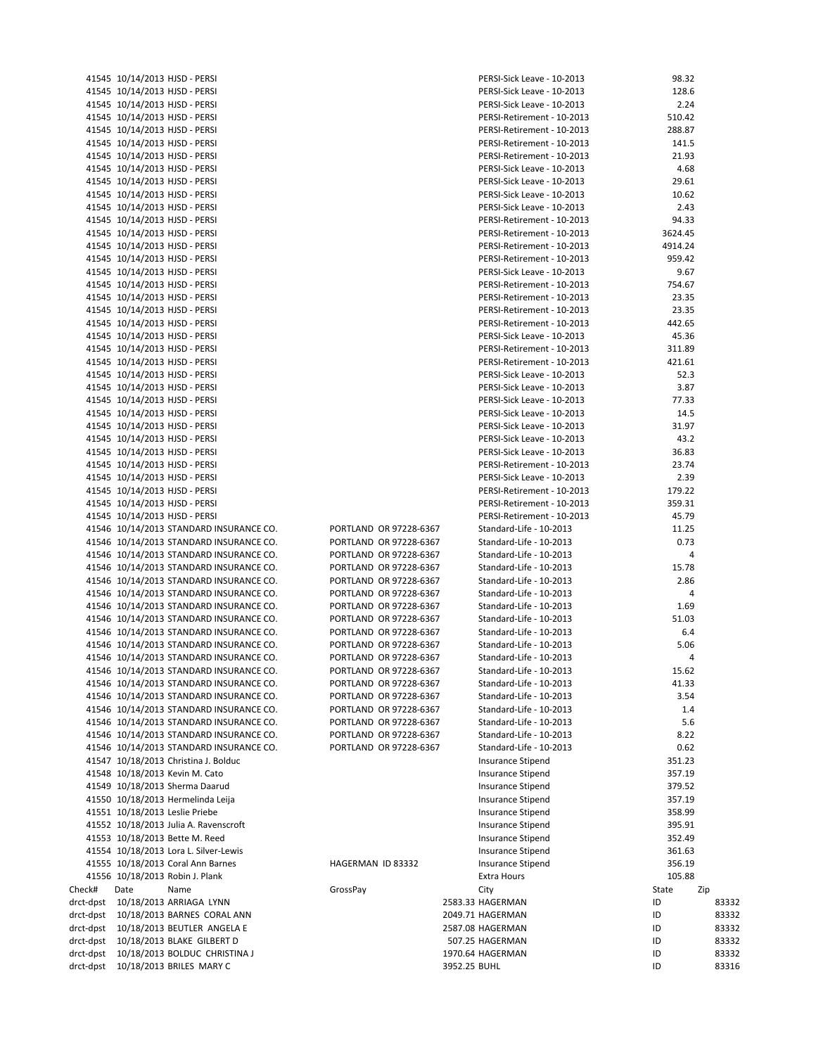|           |      | 41545 10/14/2013 HJSD - PERSI           |                   |                        |              | PERSI-Sick Leave - 10-2013 | 98.32   |       |
|-----------|------|-----------------------------------------|-------------------|------------------------|--------------|----------------------------|---------|-------|
|           |      | 41545 10/14/2013 HJSD - PERSI           |                   |                        |              | PERSI-Sick Leave - 10-2013 | 128.6   |       |
|           |      | 41545 10/14/2013 HJSD - PERSI           |                   |                        |              | PERSI-Sick Leave - 10-2013 | 2.24    |       |
|           |      | 41545 10/14/2013 HJSD - PERSI           |                   |                        |              | PERSI-Retirement - 10-2013 | 510.42  |       |
|           |      | 41545 10/14/2013 HJSD - PERSI           |                   |                        |              | PERSI-Retirement - 10-2013 | 288.87  |       |
|           |      | 41545 10/14/2013 HJSD - PERSI           |                   |                        |              | PERSI-Retirement - 10-2013 | 141.5   |       |
|           |      | 41545 10/14/2013 HJSD - PERSI           |                   |                        |              | PERSI-Retirement - 10-2013 | 21.93   |       |
|           |      |                                         |                   |                        |              |                            |         |       |
|           |      | 41545 10/14/2013 HJSD - PERSI           |                   |                        |              | PERSI-Sick Leave - 10-2013 | 4.68    |       |
|           |      | 41545 10/14/2013 HJSD - PERSI           |                   |                        |              | PERSI-Sick Leave - 10-2013 | 29.61   |       |
|           |      | 41545 10/14/2013 HJSD - PERSI           |                   |                        |              | PERSI-Sick Leave - 10-2013 | 10.62   |       |
|           |      | 41545 10/14/2013 HJSD - PERSI           |                   |                        |              | PERSI-Sick Leave - 10-2013 | 2.43    |       |
|           |      | 41545 10/14/2013 HJSD - PERSI           |                   |                        |              | PERSI-Retirement - 10-2013 | 94.33   |       |
|           |      |                                         |                   |                        |              | PERSI-Retirement - 10-2013 |         |       |
|           |      | 41545 10/14/2013 HJSD - PERSI           |                   |                        |              |                            | 3624.45 |       |
|           |      | 41545 10/14/2013 HJSD - PERSI           |                   |                        |              | PERSI-Retirement - 10-2013 | 4914.24 |       |
|           |      | 41545 10/14/2013 HJSD - PERSI           |                   |                        |              | PERSI-Retirement - 10-2013 | 959.42  |       |
|           |      | 41545 10/14/2013 HJSD - PERSI           |                   |                        |              | PERSI-Sick Leave - 10-2013 | 9.67    |       |
|           |      | 41545 10/14/2013 HJSD - PERSI           |                   |                        |              | PERSI-Retirement - 10-2013 | 754.67  |       |
|           |      | 41545 10/14/2013 HJSD - PERSI           |                   |                        |              | PERSI-Retirement - 10-2013 | 23.35   |       |
|           |      |                                         |                   |                        |              |                            |         |       |
|           |      | 41545 10/14/2013 HJSD - PERSI           |                   |                        |              | PERSI-Retirement - 10-2013 | 23.35   |       |
|           |      | 41545 10/14/2013 HJSD - PERSI           |                   |                        |              | PERSI-Retirement - 10-2013 | 442.65  |       |
|           |      | 41545 10/14/2013 HJSD - PERSI           |                   |                        |              | PERSI-Sick Leave - 10-2013 | 45.36   |       |
|           |      | 41545 10/14/2013 HJSD - PERSI           |                   |                        |              | PERSI-Retirement - 10-2013 | 311.89  |       |
|           |      | 41545 10/14/2013 HJSD - PERSI           |                   |                        |              | PERSI-Retirement - 10-2013 | 421.61  |       |
|           |      |                                         |                   |                        |              |                            |         |       |
|           |      | 41545 10/14/2013 HJSD - PERSI           |                   |                        |              | PERSI-Sick Leave - 10-2013 | 52.3    |       |
|           |      | 41545 10/14/2013 HJSD - PERSI           |                   |                        |              | PERSI-Sick Leave - 10-2013 | 3.87    |       |
|           |      | 41545 10/14/2013 HJSD - PERSI           |                   |                        |              | PERSI-Sick Leave - 10-2013 | 77.33   |       |
|           |      | 41545 10/14/2013 HJSD - PERSI           |                   |                        |              | PERSI-Sick Leave - 10-2013 | 14.5    |       |
|           |      | 41545 10/14/2013 HJSD - PERSI           |                   |                        |              | PERSI-Sick Leave - 10-2013 | 31.97   |       |
|           |      |                                         |                   |                        |              |                            |         |       |
|           |      | 41545 10/14/2013 HJSD - PERSI           |                   |                        |              | PERSI-Sick Leave - 10-2013 | 43.2    |       |
|           |      | 41545 10/14/2013 HJSD - PERSI           |                   |                        |              | PERSI-Sick Leave - 10-2013 | 36.83   |       |
|           |      | 41545 10/14/2013 HJSD - PERSI           |                   |                        |              | PERSI-Retirement - 10-2013 | 23.74   |       |
|           |      | 41545 10/14/2013 HJSD - PERSI           |                   |                        |              | PERSI-Sick Leave - 10-2013 | 2.39    |       |
|           |      | 41545 10/14/2013 HJSD - PERSI           |                   |                        |              | PERSI-Retirement - 10-2013 | 179.22  |       |
|           |      | 41545 10/14/2013 HJSD - PERSI           |                   |                        |              | PERSI-Retirement - 10-2013 | 359.31  |       |
|           |      |                                         |                   |                        |              |                            |         |       |
|           |      | 41545 10/14/2013 HJSD - PERSI           |                   |                        |              | PERSI-Retirement - 10-2013 | 45.79   |       |
|           |      | 41546 10/14/2013 STANDARD INSURANCE CO. |                   | PORTLAND OR 97228-6367 |              | Standard-Life - 10-2013    | 11.25   |       |
|           |      | 41546 10/14/2013 STANDARD INSURANCE CO. |                   | PORTLAND OR 97228-6367 |              | Standard-Life - 10-2013    | 0.73    |       |
|           |      | 41546 10/14/2013 STANDARD INSURANCE CO. |                   | PORTLAND OR 97228-6367 |              | Standard-Life - 10-2013    | 4       |       |
|           |      | 41546 10/14/2013 STANDARD INSURANCE CO. |                   | PORTLAND OR 97228-6367 |              | Standard-Life - 10-2013    | 15.78   |       |
|           |      |                                         |                   |                        |              |                            |         |       |
|           |      | 41546 10/14/2013 STANDARD INSURANCE CO. |                   | PORTLAND OR 97228-6367 |              | Standard-Life - 10-2013    | 2.86    |       |
|           |      | 41546 10/14/2013 STANDARD INSURANCE CO. |                   | PORTLAND OR 97228-6367 |              | Standard-Life - 10-2013    | 4       |       |
|           |      | 41546 10/14/2013 STANDARD INSURANCE CO. |                   | PORTLAND OR 97228-6367 |              | Standard-Life - 10-2013    | 1.69    |       |
|           |      | 41546 10/14/2013 STANDARD INSURANCE CO. |                   | PORTLAND OR 97228-6367 |              | Standard-Life - 10-2013    | 51.03   |       |
|           |      | 41546 10/14/2013 STANDARD INSURANCE CO. |                   | PORTLAND OR 97228-6367 |              | Standard-Life - 10-2013    | 6.4     |       |
|           |      | 41546 10/14/2013 STANDARD INSURANCE CO. |                   | PORTLAND OR 97228-6367 |              |                            |         |       |
|           |      |                                         |                   |                        |              | Standard-Life - 10-2013    | 5.06    |       |
|           |      | 41546 10/14/2013 STANDARD INSURANCE CO. |                   | PORTLAND OR 97228-6367 |              | Standard-Life - 10-2013    | 4       |       |
|           |      | 41546 10/14/2013 STANDARD INSURANCE CO. |                   | PORTLAND OR 97228-6367 |              | Standard-Life - 10-2013    | 15.62   |       |
|           |      | 41546 10/14/2013 STANDARD INSURANCE CO. |                   | PORTLAND OR 97228-6367 |              | Standard-Life - 10-2013    | 41.33   |       |
|           |      | 41546 10/14/2013 STANDARD INSURANCE CO. |                   | PORTLAND OR 97228-6367 |              | Standard-Life - 10-2013    | 3.54    |       |
|           |      |                                         |                   | PORTLAND OR 97228-6367 |              | Standard-Life - 10-2013    | 1.4     |       |
|           |      | 41546 10/14/2013 STANDARD INSURANCE CO. |                   |                        |              |                            |         |       |
|           |      | 41546 10/14/2013 STANDARD INSURANCE CO. |                   | PORTLAND OR 97228-6367 |              | Standard-Life - 10-2013    | 5.6     |       |
|           |      | 41546 10/14/2013 STANDARD INSURANCE CO. |                   | PORTLAND OR 97228-6367 |              | Standard-Life - 10-2013    | 8.22    |       |
|           |      | 41546 10/14/2013 STANDARD INSURANCE CO. |                   | PORTLAND OR 97228-6367 |              | Standard-Life - 10-2013    | 0.62    |       |
|           |      | 41547 10/18/2013 Christina J. Bolduc    |                   |                        |              | <b>Insurance Stipend</b>   | 351.23  |       |
|           |      |                                         |                   |                        |              |                            |         |       |
|           |      | 41548 10/18/2013 Kevin M. Cato          |                   |                        |              | <b>Insurance Stipend</b>   | 357.19  |       |
|           |      | 41549 10/18/2013 Sherma Daarud          |                   |                        |              | Insurance Stipend          | 379.52  |       |
|           |      | 41550 10/18/2013 Hermelinda Leija       |                   |                        |              | <b>Insurance Stipend</b>   | 357.19  |       |
|           |      | 41551 10/18/2013 Leslie Priebe          |                   |                        |              | <b>Insurance Stipend</b>   | 358.99  |       |
|           |      | 41552 10/18/2013 Julia A. Ravenscroft   |                   |                        |              | <b>Insurance Stipend</b>   | 395.91  |       |
|           |      |                                         |                   |                        |              |                            |         |       |
|           |      | 41553 10/18/2013 Bette M. Reed          |                   |                        |              | <b>Insurance Stipend</b>   | 352.49  |       |
|           |      | 41554 10/18/2013 Lora L. Silver-Lewis   |                   |                        |              | <b>Insurance Stipend</b>   | 361.63  |       |
|           |      | 41555 10/18/2013 Coral Ann Barnes       | HAGERMAN ID 83332 |                        |              | <b>Insurance Stipend</b>   | 356.19  |       |
|           |      | 41556 10/18/2013 Robin J. Plank         |                   |                        |              | <b>Extra Hours</b>         | 105.88  |       |
| Check#    | Date | Name                                    | GrossPay          |                        |              | City                       | State   | Zip   |
|           |      |                                         |                   |                        |              |                            |         |       |
| drct-dpst |      | 10/18/2013 ARRIAGA LYNN                 |                   |                        |              | 2583.33 HAGERMAN           | ID      | 83332 |
| drct-dpst |      | 10/18/2013 BARNES CORAL ANN             |                   |                        |              | 2049.71 HAGERMAN           | ID      | 83332 |
| drct-dpst |      | 10/18/2013 BEUTLER ANGELA E             |                   |                        |              | 2587.08 HAGERMAN           | ID      | 83332 |
| drct-dpst |      | 10/18/2013 BLAKE GILBERT D              |                   |                        |              | 507.25 HAGERMAN            | ID      | 83332 |
| drct-dpst |      | 10/18/2013 BOLDUC CHRISTINA J           |                   |                        |              | 1970.64 HAGERMAN           | ID      | 83332 |
|           |      |                                         |                   |                        |              |                            |         |       |
| drct-dpst |      | 10/18/2013 BRILES MARY C                |                   |                        | 3952.25 BUHL |                            | ID      | 83316 |